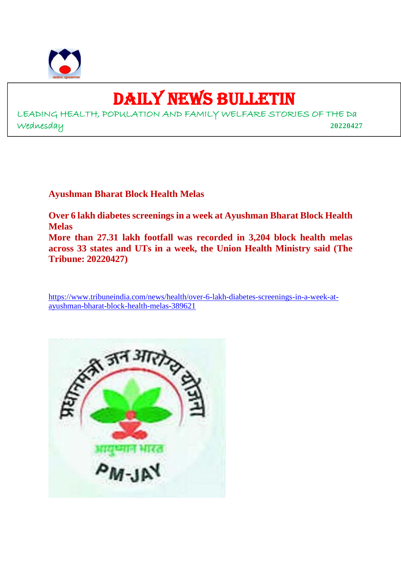

## DAILY NEWS BULLETIN

LEADING HEALTH, POPULATION AND FAMILY WELFARE STORIES OF THE Da Wednesday **20220427**

**Ayushman Bharat Block Health Melas**

**Over 6 lakh diabetes screenings in a week at Ayushman Bharat Block Health Melas More than 27.31 lakh footfall was recorded in 3,204 block health melas**

**across 33 states and UTs in a week, the Union Health Ministry said (The Tribune: 20220427)**

https://www.tribuneindia.com/news/health/over-6-lakh-diabetes-screenings-in-a-week-atayushman-bharat-block-health-melas-389621

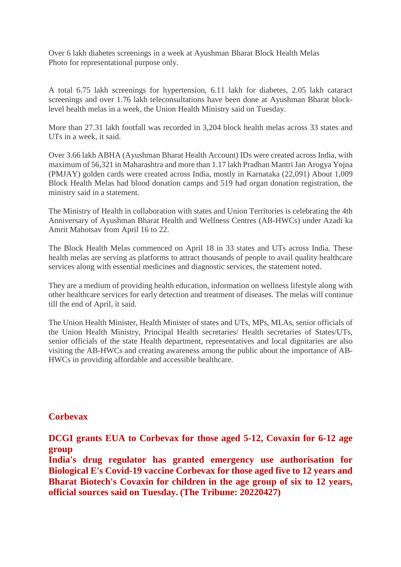Over 6 lakh diabetes screenings in a week at Ayushman Bharat Block Health Melas Photo for representational purpose only.

A total 6.75 lakh screenings for hypertension, 6.11 lakh for diabetes, 2.05 lakh cataract screenings and over 1.76 lakh teleconsultations have been done at Ayushman Bharat blocklevel health melas in a week, the Union Health Ministry said on Tuesday.

More than 27.31 lakh footfall was recorded in 3,204 block health melas across 33 states and UTs in a week, it said.

Over 3.66 lakh ABHA (Ayushman Bharat Health Account) IDs were created across India, with maximum of 56,321 in Maharashtra and more than 1.17 lakh Pradhan Mantri Jan Arogya Yojna (PMJAY) golden cards were created across India, mostly in Karnataka (22,091) About 1,009 Block Health Melas had blood donation camps and 519 had organ donation registration, the ministry said in a statement.

The Ministry of Health in collaboration with states and Union Territories is celebrating the 4th Anniversary of Ayushman Bharat Health and Wellness Centres (AB-HWCs) under Azadi ka Amrit Mahotsav from April 16 to 22.

The Block Health Melas commenced on April 18 in 33 states and UTs across India. These health melas are serving as platforms to attract thousands of people to avail quality healthcare services along with essential medicines and diagnostic services, the statement noted.

They are a medium of providing health education, information on wellness lifestyle along with other healthcare services for early detection and treatment of diseases. The melas will continue till the end of April, it said.

The Union Health Minister, Health Minister of states and UTs, MPs, MLAs, senior officials of the Union Health Ministry, Principal Health secretaries/ Health secretaries of States/UTs, senior officials of the state Health department, representatives and local dignitaries are also visiting the AB-HWCs and creating awareness among the public about the importance of AB-HWCs in providing affordable and accessible healthcare.

### **Corbevax**

**DCGI grants EUA to Corbevax for those aged 5-12, Covaxin for 6-12 age group**

**India's drug regulator has granted emergency use authorisation for Biological E's Covid-19 vaccine Corbevax for those aged five to 12 years and Bharat Biotech's Covaxin for children in the age group of six to 12 years, official sources said on Tuesday. (The Tribune: 20220427)**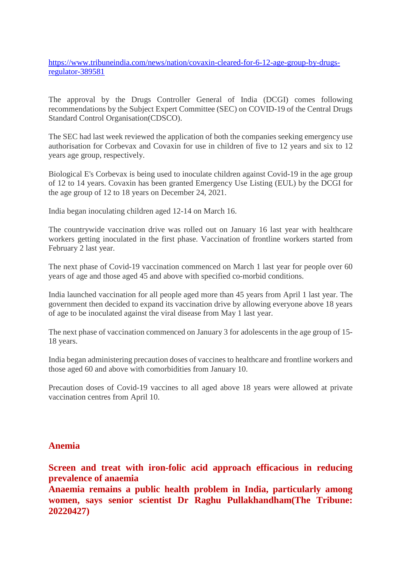https://www.tribuneindia.com/news/nation/covaxin-cleared-for-6-12-age-group-by-drugsregulator-389581

The approval by the Drugs Controller General of India (DCGI) comes following recommendations by the Subject Expert Committee (SEC) on COVID-19 of the Central Drugs Standard Control Organisation(CDSCO).

The SEC had last week reviewed the application of both the companies seeking emergency use authorisation for Corbevax and Covaxin for use in children of five to 12 years and six to 12 years age group, respectively.

Biological E's Corbevax is being used to inoculate children against Covid-19 in the age group of 12 to 14 years. Covaxin has been granted Emergency Use Listing (EUL) by the DCGI for the age group of 12 to 18 years on December 24, 2021.

India began inoculating children aged 12-14 on March 16.

The countrywide vaccination drive was rolled out on January 16 last year with healthcare workers getting inoculated in the first phase. Vaccination of frontline workers started from February 2 last year.

The next phase of Covid-19 vaccination commenced on March 1 last year for people over 60 years of age and those aged 45 and above with specified co-morbid conditions.

India launched vaccination for all people aged more than 45 years from April 1 last year. The government then decided to expand its vaccination drive by allowing everyone above 18 years of age to be inoculated against the viral disease from May 1 last year.

The next phase of vaccination commenced on January 3 for adolescents in the age group of 15- 18 years.

India began administering precaution doses of vaccines to healthcare and frontline workers and those aged 60 and above with comorbidities from January 10.

Precaution doses of Covid-19 vaccines to all aged above 18 years were allowed at private vaccination centres from April 10.

### **Anemia**

**Screen and treat with iron-folic acid approach efficacious in reducing prevalence of anaemia**

**Anaemia remains a public health problem in India, particularly among women, says senior scientist Dr Raghu Pullakhandham(The Tribune: 20220427)**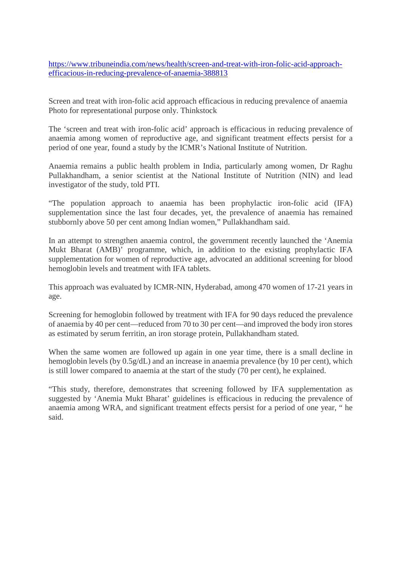https://www.tribuneindia.com/news/health/screen-and-treat-with-iron-folic-acid-approachefficacious-in-reducing-prevalence-of-anaemia-388813

Screen and treat with iron-folic acid approach efficacious in reducing prevalence of anaemia Photo for representational purpose only. Thinkstock

The 'screen and treat with iron-folic acid' approach is efficacious in reducing prevalence of anaemia among women of reproductive age, and significant treatment effects persist for a period of one year, found a study by the ICMR's National Institute of Nutrition.

Anaemia remains a public health problem in India, particularly among women, Dr Raghu Pullakhandham, a senior scientist at the National Institute of Nutrition (NIN) and lead investigator of the study, told PTI.

"The population approach to anaemia has been prophylactic iron-folic acid (IFA) supplementation since the last four decades, yet, the prevalence of anaemia has remained stubbornly above 50 per cent among Indian women," Pullakhandham said.

In an attempt to strengthen anaemia control, the government recently launched the 'Anemia Mukt Bharat (AMB)' programme, which, in addition to the existing prophylactic IFA supplementation for women of reproductive age, advocated an additional screening for blood hemoglobin levels and treatment with IFA tablets.

This approach was evaluated by ICMR-NIN, Hyderabad, among 470 women of 17-21 years in age.

Screening for hemoglobin followed by treatment with IFA for 90 days reduced the prevalence of anaemia by 40 per cent—reduced from 70 to 30 per cent—and improved the body iron stores as estimated by serum ferritin, an iron storage protein, Pullakhandham stated.

When the same women are followed up again in one year time, there is a small decline in hemoglobin levels (by  $0.5g/dL$ ) and an increase in anaemia prevalence (by 10 per cent), which is still lower compared to anaemia at the start of the study (70 per cent), he explained.

"This study, therefore, demonstrates that screening followed by IFA supplementation as suggested by 'Anemia Mukt Bharat' guidelines is efficacious in reducing the prevalence of anaemia among WRA, and significant treatment effects persist for a period of one year, " he said.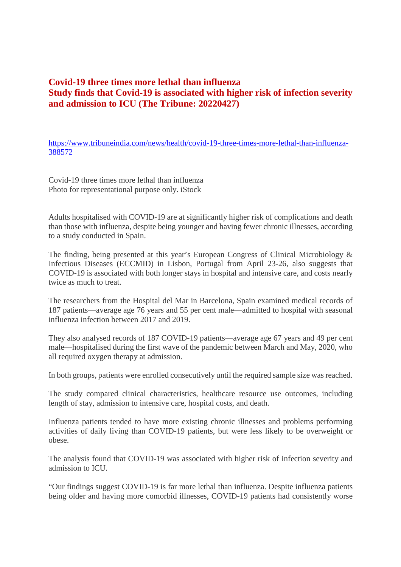### **Covid-19 three times more lethal than influenza Study finds that Covid-19 is associated with higher risk of infection severity and admission to ICU (The Tribune: 20220427)**

https://www.tribuneindia.com/news/health/covid-19-three-times-more-lethal-than-influenza-388572

Covid-19 three times more lethal than influenza Photo for representational purpose only. iStock

Adults hospitalised with COVID-19 are at significantly higher risk of complications and death than those with influenza, despite being younger and having fewer chronic illnesses, according to a study conducted in Spain.

The finding, being presented at this year's European Congress of Clinical Microbiology & Infectious Diseases (ECCMID) in Lisbon, Portugal from April 23-26, also suggests that COVID-19 is associated with both longer stays in hospital and intensive care, and costs nearly twice as much to treat.

The researchers from the Hospital del Mar in Barcelona, Spain examined medical records of 187 patients—average age 76 years and 55 per cent male—admitted to hospital with seasonal influenza infection between 2017 and 2019.

They also analysed records of 187 COVID-19 patients—average age 67 years and 49 per cent male—hospitalised during the first wave of the pandemic between March and May, 2020, who all required oxygen therapy at admission.

In both groups, patients were enrolled consecutively until the required sample size was reached.

The study compared clinical characteristics, healthcare resource use outcomes, including length of stay, admission to intensive care, hospital costs, and death.

Influenza patients tended to have more existing chronic illnesses and problems performing activities of daily living than COVID-19 patients, but were less likely to be overweight or obese.

The analysis found that COVID-19 was associated with higher risk of infection severity and admission to ICU.

"Our findings suggest COVID-19 is far more lethal than influenza. Despite influenza patients being older and having more comorbid illnesses, COVID-19 patients had consistently worse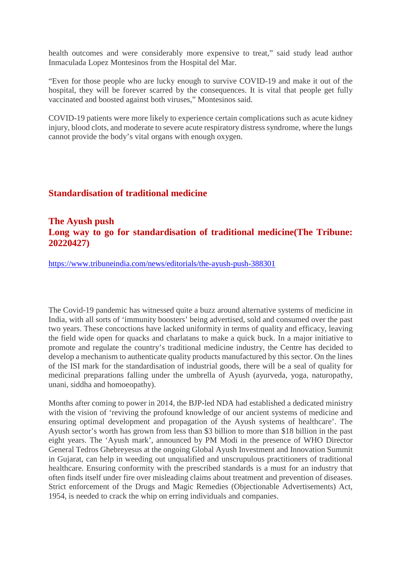health outcomes and were considerably more expensive to treat," said study lead author Inmaculada Lopez Montesinos from the Hospital del Mar.

"Even for those people who are lucky enough to survive COVID-19 and make it out of the hospital, they will be forever scarred by the consequences. It is vital that people get fully vaccinated and boosted against both viruses," Montesinos said.

COVID-19 patients were more likely to experience certain complications such as acute kidney injury, blood clots, and moderate to severe acute respiratory distress syndrome, where the lungs cannot provide the body's vital organs with enough oxygen.

### **Standardisation of traditional medicine**

### **The Ayush push Long way to go for standardisation of traditional medicine(The Tribune: 20220427)**

https://www.tribuneindia.com/news/editorials/the-ayush-push-388301

The Covid-19 pandemic has witnessed quite a buzz around alternative systems of medicine in India, with all sorts of 'immunity boosters' being advertised, sold and consumed over the past two years. These concoctions have lacked uniformity in terms of quality and efficacy, leaving the field wide open for quacks and charlatans to make a quick buck. In a major initiative to promote and regulate the country's traditional medicine industry, the Centre has decided to develop a mechanism to authenticate quality products manufactured by this sector. On the lines of the ISI mark for the standardisation of industrial goods, there will be a seal of quality for medicinal preparations falling under the umbrella of Ayush (ayurveda, yoga, naturopathy, unani, siddha and homoeopathy).

Months after coming to power in 2014, the BJP-led NDA had established a dedicated ministry with the vision of 'reviving the profound knowledge of our ancient systems of medicine and ensuring optimal development and propagation of the Ayush systems of healthcare'. The Ayush sector's worth has grown from less than \$3 billion to more than \$18 billion in the past eight years. The 'Ayush mark', announced by PM Modi in the presence of WHO Director General Tedros Ghebreyesus at the ongoing Global Ayush Investment and Innovation Summit in Gujarat, can help in weeding out unqualified and unscrupulous practitioners of traditional healthcare. Ensuring conformity with the prescribed standards is a must for an industry that often finds itself under fire over misleading claims about treatment and prevention of diseases. Strict enforcement of the Drugs and Magic Remedies (Objectionable Advertisements) Act, 1954, is needed to crack the whip on erring individuals and companies.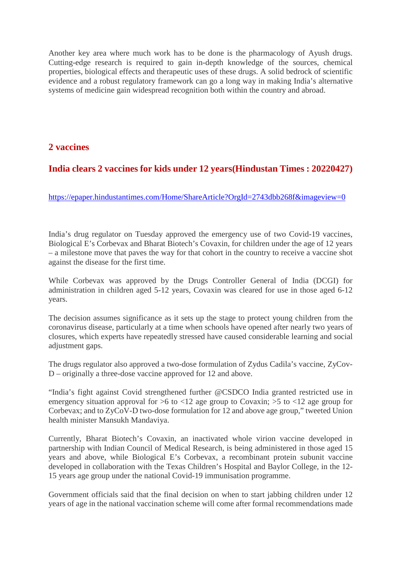Another key area where much work has to be done is the pharmacology of Ayush drugs. Cutting-edge research is required to gain in-depth knowledge of the sources, chemical properties, biological effects and therapeutic uses of these drugs. A solid bedrock of scientific evidence and a robust regulatory framework can go a long way in making India's alternative systems of medicine gain widespread recognition both within the country and abroad.

### **2 vaccines**

## **India clears 2 vaccines for kids under 12 years(Hindustan Times : 20220427)**

https://epaper.hindustantimes.com/Home/ShareArticle?OrgId=2743dbb268f&imageview=0

India's drug regulator on Tuesday approved the emergency use of two Covid-19 vaccines, Biological E's Corbevax and Bharat Biotech's Covaxin, for children under the age of 12 years – a milestone move that paves the way for that cohort in the country to receive a vaccine shot against the disease for the first time.

While Corbevax was approved by the Drugs Controller General of India (DCGI) for administration in children aged 5-12 years, Covaxin was cleared for use in those aged 6-12 years.

The decision assumes significance as it sets up the stage to protect young children from the coronavirus disease, particularly at a time when schools have opened after nearly two years of closures, which experts have repeatedly stressed have caused considerable learning and social adjustment gaps.

The drugs regulator also approved a two-dose formulation of Zydus Cadila's vaccine, ZyCov-D – originally a three-dose vaccine approved for 12 and above.

"India's fight against Covid strengthened further @CSDCO India granted restricted use in emergency situation approval for  $>6$  to  $< 12$  age group to Covaxin;  $> 5$  to  $< 12$  age group for Corbevax; and to ZyCoV-D two-dose formulation for 12 and above age group," tweeted Union health minister Mansukh Mandaviya.

Currently, Bharat Biotech's Covaxin, an inactivated whole virion vaccine developed in partnership with Indian Council of Medical Research, is being administered in those aged 15 years and above, while Biological E's Corbevax, a recombinant protein subunit vaccine developed in collaboration with the Texas Children's Hospital and Baylor College, in the 12- 15 years age group under the national Covid-19 immunisation programme.

Government officials said that the final decision on when to start jabbing children under 12 years of age in the national vaccination scheme will come after formal recommendations made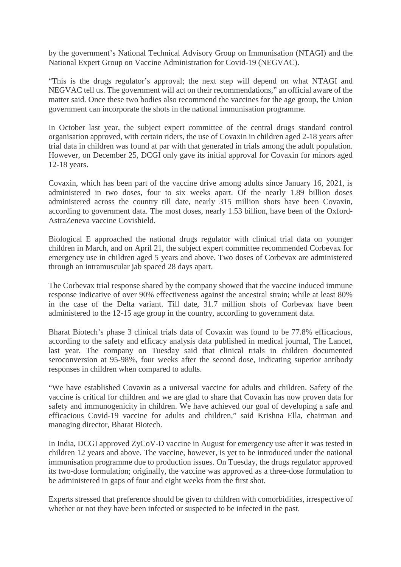by the government's National Technical Advisory Group on Immunisation (NTAGI) and the National Expert Group on Vaccine Administration for Covid-19 (NEGVAC).

"This is the drugs regulator's approval; the next step will depend on what NTAGI and NEGVAC tell us. The government will act on their recommendations," an official aware of the matter said. Once these two bodies also recommend the vaccines for the age group, the Union government can incorporate the shots in the national immunisation programme.

In October last year, the subject expert committee of the central drugs standard control organisation approved, with certain riders, the use of Covaxin in children aged 2-18 years after trial data in children was found at par with that generated in trials among the adult population. However, on December 25, DCGI only gave its initial approval for Covaxin for minors aged 12-18 years.

Covaxin, which has been part of the vaccine drive among adults since January 16, 2021, is administered in two doses, four to six weeks apart. Of the nearly 1.89 billion doses administered across the country till date, nearly 315 million shots have been Covaxin, according to government data. The most doses, nearly 1.53 billion, have been of the Oxford-AstraZeneva vaccine Covishield.

Biological E approached the national drugs regulator with clinical trial data on younger children in March, and on April 21, the subject expert committee recommended Corbevax for emergency use in children aged 5 years and above. Two doses of Corbevax are administered through an intramuscular jab spaced 28 days apart.

The Corbevax trial response shared by the company showed that the vaccine induced immune response indicative of over 90% effectiveness against the ancestral strain; while at least 80% in the case of the Delta variant. Till date, 31.7 million shots of Corbevax have been administered to the 12-15 age group in the country, according to government data.

Bharat Biotech's phase 3 clinical trials data of Covaxin was found to be 77.8% efficacious, according to the safety and efficacy analysis data published in medical journal, The Lancet, last year. The company on Tuesday said that clinical trials in children documented seroconversion at 95-98%, four weeks after the second dose, indicating superior antibody responses in children when compared to adults.

"We have established Covaxin as a universal vaccine for adults and children. Safety of the vaccine is critical for children and we are glad to share that Covaxin has now proven data for safety and immunogenicity in children. We have achieved our goal of developing a safe and efficacious Covid-19 vaccine for adults and children," said Krishna Ella, chairman and managing director, Bharat Biotech.

In India, DCGI approved ZyCoV-D vaccine in August for emergency use after it was tested in children 12 years and above. The vaccine, however, is yet to be introduced under the national immunisation programme due to production issues. On Tuesday, the drugs regulator approved its two-dose formulation; originally, the vaccine was approved as a three-dose formulation to be administered in gaps of four and eight weeks from the first shot.

Experts stressed that preference should be given to children with comorbidities, irrespective of whether or not they have been infected or suspected to be infected in the past.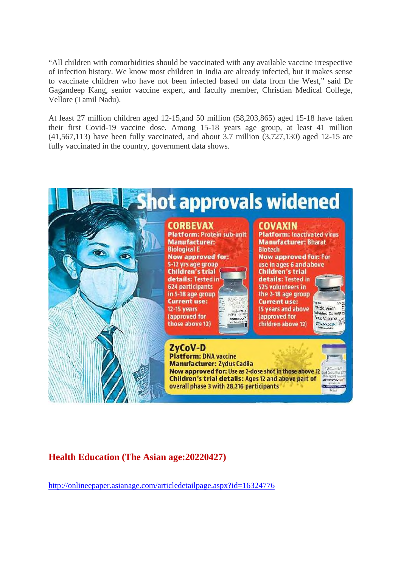"All children with comorbidities should be vaccinated with any available vaccine irrespective of infection history. We know most children in India are already infected, but it makes sense to vaccinate children who have not been infected based on data from the West," said Dr Gagandeep Kang, senior vaccine expert, and faculty member, Christian Medical College, Vellore (Tamil Nadu).

At least 27 million children aged 12-15,and 50 million (58,203,865) aged 15-18 have taken their first Covid-19 vaccine dose. Among 15-18 years age group, at least 41 million (41,567,113) have been fully vaccinated, and about 3.7 million (3,727,130) aged 12-15 are fully vaccinated in the country, government data shows.



## **Health Education (The Asian age:20220427)**

http://onlineepaper.asianage.com/articledetailpage.aspx?id=16324776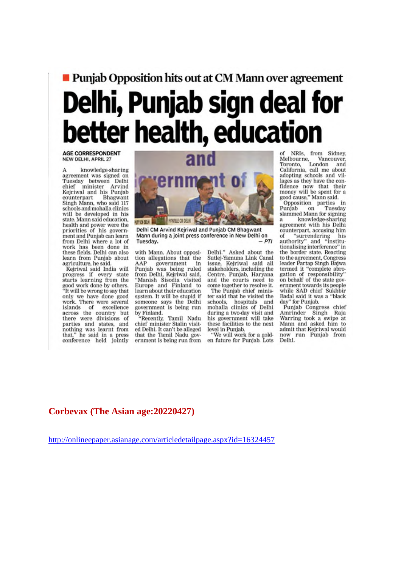# **Puniab Opposition hits out at CM Mann over agreement** Delhi, Punjab sign deal for better health, education

**AGE CORRESPONDENT** NEW DELHI, APRIL 27

knowledge-sharing agreement was signed on Tuesday between Delhi chief minister Arvind<br>Kejriwal and his Punjab counterpart Bhagwant<br>Singh Mann, who said 117 Bhagwant schools and mohalla clinics will be developed in his state. Mann said education. health and power were the priorities of his government and Punjab can learn from Delhi where a lot of work has been done in these fields. Delhi can also learn from Puniab about agriculture, he said.

Kejriwal said India will progress if every state starts learning from the good work done by others.<br>"It will be wrong to say that only we have done good work. There were several islands of excellence<br>across the country but there were divisions of<br>parties and states, and<br>nothing was learnt from that." he said in a press conference held jointly



Delhi CM Arvind Kejriwal and Punjab CM Bhagwant Mann during a joint press conference in New Delhi on  $PTI$ Tuesday.

with Mann. About opposition allegations that the AAP AAP government in<br>Punjab was being ruled from Delhi, Kejriwal said. 'Manish Sisodia visited Europe and Finland to learn about their education system. It will be stupid if someone says the Delhi<br>government is being run by Finland.

"Recently, Tamil Nadu<br>chief minister Stalin visited Delhi. It can't be alleged that the Tamil Nadu government is being run from

Delhi." Asked about the Sutlej-Yamuna Link Canal issue. Keiriwal said all stakeholders, including the Centre, Punjab, Haryana and the courts need to come together to resolve it.

The Punjab chief minister said that he visited the schools, hospitals and<br>mohalla clinics of Delhi<br>during a two-day visit and his government will take these facilities to the next level in Puniab.

"We will work for a golden future for Punjab. Lots

NRIs. from Sidney. Melbourne, Vanc<br>Toronto, London Vancouver, California, call me about adopting schools and villages as they have the confidence now that their<br>money will be spent for a<br>good cause," Mann said.

Opposition parties in Punjab on Tuesday slammed Mann for signing knowledge-sharing  $\mathbf{a}$ agreement with his Delhi counterpart, accusing him of "surrendering his<br>authority" and "institutionalising interference" in the border state. Reacting to the agreement, Congress leader Partap Singh Baiwa termed it "complete abrogation of responsibility" on behalf of the state government towards its people while SAD chief Sukhbir Badal said it was a "black day" for Punjab.

Punjab Congress chief<br>Amrinder Singh Raja Warring took a swipe at<br>Mann and asked him to admit that Keiriwal would now run Punjab from Delhi.

### Corbevax (The Asian age: 20220427)

http://onlineepaper.asianage.com/articledetailpage.aspx?id=16324457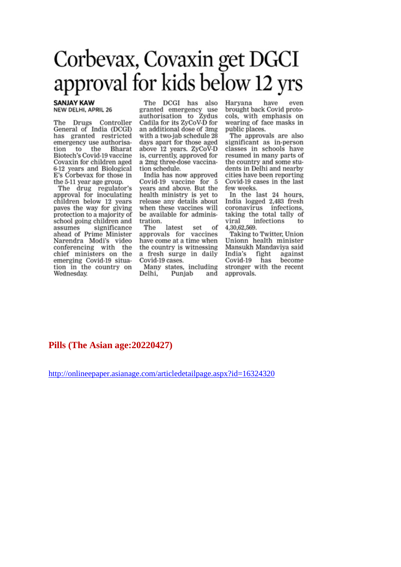## Corbevax, Covaxin get DGCI approval for kids below 12 yrs

### **SANJAY KAW NEW DELHI, APRIL 26**

The Drugs Controller General of India (DCGI) has granted restricted emergency use authorisa-Bharat the tion to Biotech's Covid-19 vaccine Covaxin for children aged 6-12 years and Biological E's Corbevax for those in the 5-11 year age group.

The drug regulator's<br>approval for inoculating children below 12 years paves the way for giving protection to a majority of school going children and assumes significance ahead of Prime Minister Narendra Modi's video conferencing with the chief ministers on the emerging Covid-19 situation in the country on Wednesday.

The DCGI has also granted emergency use authorisation to Zydus Cadila for its ZyCoV-D for an additional dose of 3mg with a two-jab schedule 28 days apart for those aged above 12 years. ZyCoV-D is, currently, approved for a 2mg three-dose vaccination schedule.

India has now approved Covid-19 vaccine for 5 years and above. But the health ministry is yet to release any details about when these vaccines will be available for administration.

The latest set of approvals for vaccines have come at a time when the country is witnessing a fresh surge in daily Covid-19 cases.

Many states, including Delhi, Punjab and

Haryana have even brought back Covid protocols, with emphasis on wearing of face masks in public places.

The approvals are also significant as in-person classes in schools have resumed in many parts of the country and some students in Delhi and nearby cities have been reporting Covid-19 cases in the last few weeks.

In the last 24 hours. India logged 2,483 fresh coronavirus infections. taking the total tally of viral infections to 4,30,62,569.

Taking to Twitter, Union Unionn health minister Mansukh Mandaviya said India's fight against Covid-19 has become stronger with the recent approvals.

### Pills (The Asian age: 20220427)

http://onlineepaper.asianage.com/articledetailpage.aspx?id=16324320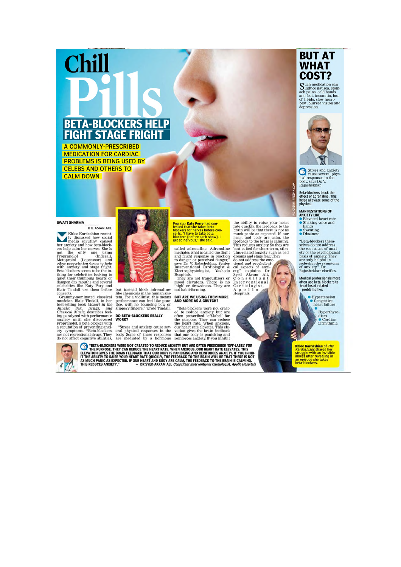# **BETA-BLOCKERS HELP FIGHT STAGE FRIGHT**

A COMMONLY-PRESCRIBED **MEDICATION FOR CARDIAC PROBLEMS IS BEING USED BY CELEBS AND OTHERS TO CALM DOWN** 

Chill

### **SWATI SHARMA**

THE ASIAN AGE THE ASIAN AGE<br>
IV RIDOR Kardashian recent<br>
Iv discussed how social<br>
needia scrutiny caused<br>
ers help calm her nerves. She is<br>
not the only one using<br>
propranolol (Indeeral),<br>
Metoprolol (Lopersor) and<br>
propranolol (Indeera

Blair Tindall use them before but instead block adrenalme- not nabu-torming.<br>
Elair Tindall use them before but instead block adrenalme- not nabu-torming.<br>
Crammy-nominated classical tem. For a violinist, this means **BUT A** 



but instead block adrenaline-<br>like chemicals in the human system. For a violinist, this means<br>performance can feel like prac-<br>tice, with no bouncing bow or<br>slippery fingers," wrote Tindall.

Pop star **Katy Perry** had con-<br>fessed that she takes beta<br>blockers for nerves before con-<br>certs. "I have to take beta<br>blockers [before each show], I<br>get so nervous," she said.

called adrenaline. Adrenaline mediates what is called the flight and fright response in reaction to danger or perceived danger," says Dr V. Rajashekhar, Senior Interventional Cardiologist & Electrophysiologist, Yashoda Electrophysiologist,<br>Hospitals.

ricospitals.<br>They are not tranquilizers or<br>mood elevators. There is no<br>'high' or drowsiness. They are<br>not habit-forming.

the ability to raise your heart<br>rate quickly the feedback to the brain will be that there is not as<br>much pancie as expected. If our<br>head and body are calm, the<br>feedback to the brain is calming.<br>This reduces anxiety So the

A p o 1 1 o<br>Hospitals.





Hyperthyroi

**Khloe Kardashian of The Kardashians shared her struggle with an invisible illness after revealing in an episode she takes beta-blockers.** 



**CONTRESS WERE NOT CREATED TO REDUCE ANXIETY BUT ARE OFTEN PRESCRIBED 'OFF-LABEL' FOR THE PURPOSE. THEY CAN REDUCE THE HEART RATE. WHEN ANXIOUS, OUR HEART RATE ELEVATION GIVES THE BRAIN FEEDBACK THAT OUR BUT IN EARLY AND R** nollo Hosnitals

### **BUT AT WHAT** COST?

 $\begin{tabular}{l} \textbf{Such medication can}\\ \textbf{induce nausea, somach pairs, cold hands} \\ \text{and feet, in somina, loss \\ \text{of libido, slow heart} \\ \textbf{beat, blurred vision and depression.} \end{tabular}$ 



 $\fbox{\parbox{0.8\linewidth}{ \emph{Stress and anxiety}} \label{cor} \begin{minipage}{0.9\linewidth} \hspace{-5mm} \textbf{S} \textbf{tress and anxiety} \\\textbf{causes several physical responses in the body, says Dr. V.} \\\textbf{Rajashekhar.} \end{minipage}$ 

Beta-blockers block the<br>effect of adrenaline. This<br>helps alleviate some of the<br>physical

**MANIFESTATIONS OF<br>
ANXIETY LIKE<br>
• Elevated heart rate<br>
• Shaking voice and<br>
hands<br>
• Sweating<br>
• Dizziness** 

FREEPIK.COM

"Beta-blockers themselves do not address<br>selves do not address<br>the root cause of anxi-<br>ety or the psychological<br>basis of anxiety. They<br>are only helpful in<br>reducing the symptoms<br>of anxiety." Dr.<br>Rajashekhar clarifies.

Medical professionals most often use beta-blockers to<br>treat heart-related<br>problems like:

• Hypertension<br>• Congestive<br>heart failure

dism<br>• Cardiac<br>arrhythmia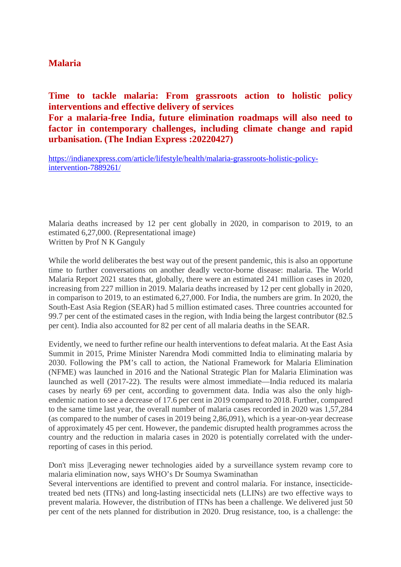### **Malaria**

**Time to tackle malaria: From grassroots action to holistic policy interventions and effective delivery of services For a malaria-free India, future elimination roadmaps will also need to factor in contemporary challenges, including climate change and rapid urbanisation. (The Indian Express :20220427)**

https://indianexpress.com/article/lifestyle/health/malaria-grassroots-holistic-policyintervention-7889261/

Malaria deaths increased by 12 per cent globally in 2020, in comparison to 2019, to an estimated 6,27,000. (Representational image) Written by Prof N K Ganguly

While the world deliberates the best way out of the present pandemic, this is also an opportune time to further conversations on another deadly vector-borne disease: malaria. The World Malaria Report 2021 states that, globally, there were an estimated 241 million cases in 2020, increasing from 227 million in 2019. Malaria deaths increased by 12 per cent globally in 2020, in comparison to 2019, to an estimated 6,27,000. For India, the numbers are grim. In 2020, the South-East Asia Region (SEAR) had 5 million estimated cases. Three countries accounted for 99.7 per cent of the estimated cases in the region, with India being the largest contributor (82.5 per cent). India also accounted for 82 per cent of all malaria deaths in the SEAR.

Evidently, we need to further refine our health interventions to defeat malaria. At the East Asia Summit in 2015, Prime Minister Narendra Modi committed India to eliminating malaria by 2030. Following the PM's call to action, the National Framework for Malaria Elimination (NFME) was launched in 2016 and the National Strategic Plan for Malaria Elimination was launched as well (2017-22). The results were almost immediate—India reduced its malaria cases by nearly 69 per cent, according to government data. India was also the only highendemic nation to see a decrease of 17.6 per cent in 2019 compared to 2018. Further, compared to the same time last year, the overall number of malaria cases recorded in 2020 was 1,57,284 (as compared to the number of cases in 2019 being 2,86,091), which is a year-on-year decrease of approximately 45 per cent. However, the pandemic disrupted health programmes across the country and the reduction in malaria cases in 2020 is potentially correlated with the underreporting of cases in this period.

Don't miss |Leveraging newer technologies aided by a surveillance system revamp core to malaria elimination now, says WHO's Dr Soumya Swaminathan

Several interventions are identified to prevent and control malaria. For instance, insecticidetreated bed nets (ITNs) and long-lasting insecticidal nets (LLINs) are two effective ways to prevent malaria. However, the distribution of ITNs has been a challenge. We delivered just 50 per cent of the nets planned for distribution in 2020. Drug resistance, too, is a challenge: the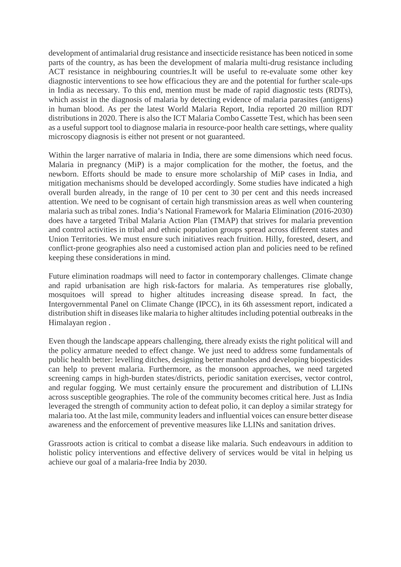development of antimalarial drug resistance and insecticide resistance has been noticed in some parts of the country, as has been the development of malaria multi-drug resistance including ACT resistance in neighbouring countries.It will be useful to re-evaluate some other key diagnostic interventions to see how efficacious they are and the potential for further scale-ups in India as necessary. To this end, mention must be made of rapid diagnostic tests (RDTs), which assist in the diagnosis of malaria by detecting evidence of malaria parasites (antigens) in human blood. As per the latest World Malaria Report, India reported 20 million RDT distributions in 2020. There is also the ICT Malaria Combo Cassette Test, which has been seen as a useful support tool to diagnose malaria in resource-poor health care settings, where quality microscopy diagnosis is either not present or not guaranteed.

Within the larger narrative of malaria in India, there are some dimensions which need focus. Malaria in pregnancy (MiP) is a major complication for the mother, the foetus, and the newborn. Efforts should be made to ensure more scholarship of MiP cases in India, and mitigation mechanisms should be developed accordingly. Some studies have indicated a high overall burden already, in the range of 10 per cent to 30 per cent and this needs increased attention. We need to be cognisant of certain high transmission areas as well when countering malaria such as tribal zones. India's National Framework for Malaria Elimination (2016-2030) does have a targeted Tribal Malaria Action Plan (TMAP) that strives for malaria prevention and control activities in tribal and ethnic population groups spread across different states and Union Territories. We must ensure such initiatives reach fruition. Hilly, forested, desert, and conflict-prone geographies also need a customised action plan and policies need to be refined keeping these considerations in mind.

Future elimination roadmaps will need to factor in contemporary challenges. Climate change and rapid urbanisation are high risk-factors for malaria. As temperatures rise globally, mosquitoes will spread to higher altitudes increasing disease spread. In fact, the Intergovernmental Panel on Climate Change (IPCC), in its 6th assessment report, indicated a distribution shift in diseases like malaria to higher altitudes including potential outbreaks in the Himalayan region .

Even though the landscape appears challenging, there already exists the right political will and the policy armature needed to effect change. We just need to address some fundamentals of public health better: levelling ditches, designing better manholes and developing biopesticides can help to prevent malaria. Furthermore, as the monsoon approaches, we need targeted screening camps in high-burden states/districts, periodic sanitation exercises, vector control, and regular fogging. We must certainly ensure the procurement and distribution of LLINs across susceptible geographies. The role of the community becomes critical here. Just as India leveraged the strength of community action to defeat polio, it can deploy a similar strategy for malaria too. At the last mile, community leaders and influential voices can ensure better disease awareness and the enforcement of preventive measures like LLINs and sanitation drives.

Grassroots action is critical to combat a disease like malaria. Such endeavours in addition to holistic policy interventions and effective delivery of services would be vital in helping us achieve our goal of a malaria-free India by 2030.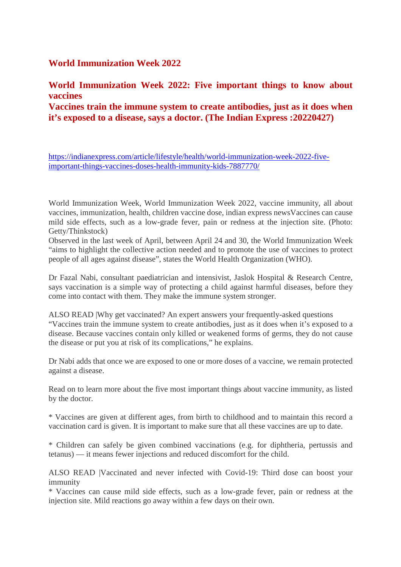### **World Immunization Week 2022**

**World Immunization Week 2022: Five important things to know about vaccines**

**Vaccines train the immune system to create antibodies, just as it does when it's exposed to a disease, says a doctor. (The Indian Express :20220427)**

https://indianexpress.com/article/lifestyle/health/world-immunization-week-2022-fiveimportant-things-vaccines-doses-health-immunity-kids-7887770/

World Immunization Week, World Immunization Week 2022, vaccine immunity, all about vaccines, immunization, health, children vaccine dose, indian express newsVaccines can cause mild side effects, such as a low-grade fever, pain or redness at the injection site. (Photo: Getty/Thinkstock)

Observed in the last week of April, between April 24 and 30, the World Immunization Week "aims to highlight the collective action needed and to promote the use of vaccines to protect people of all ages against disease", states the World Health Organization (WHO).

Dr Fazal Nabi, consultant paediatrician and intensivist, Jaslok Hospital & Research Centre, says vaccination is a simple way of protecting a child against harmful diseases, before they come into contact with them. They make the immune system stronger.

ALSO READ |Why get vaccinated? An expert answers your frequently-asked questions "Vaccines train the immune system to create antibodies, just as it does when it's exposed to a disease. Because vaccines contain only killed or weakened forms of germs, they do not cause the disease or put you at risk of its complications," he explains.

Dr Nabi adds that once we are exposed to one or more doses of a vaccine, we remain protected against a disease.

Read on to learn more about the five most important things about vaccine immunity, as listed by the doctor.

\* Vaccines are given at different ages, from birth to childhood and to maintain this record a vaccination card is given. It is important to make sure that all these vaccines are up to date.

\* Children can safely be given combined vaccinations (e.g. for diphtheria, pertussis and tetanus) — it means fewer injections and reduced discomfort for the child.

ALSO READ |Vaccinated and never infected with Covid-19: Third dose can boost your immunity

\* Vaccines can cause mild side effects, such as a low-grade fever, pain or redness at the injection site. Mild reactions go away within a few days on their own.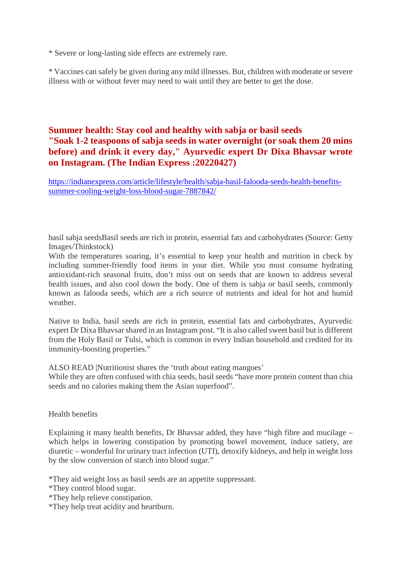\* Severe or long-lasting side effects are extremely rare.

\* Vaccines can safely be given during any mild illnesses. But, children with moderate or severe illness with or without fever may need to wait until they are better to get the dose.

### **Summer health: Stay cool and healthy with sabja or basil seeds "Soak 1-2 teaspoons of sabja seeds in water overnight (or soak them 20 mins before) and drink it every day," Ayurvedic expert Dr Dixa Bhavsar wrote on Instagram. (The Indian Express :20220427)**

https://indianexpress.com/article/lifestyle/health/sabja-basil-falooda-seeds-health-benefitssummer-cooling-weight-loss-blood-sugar-7887842/

basil sabja seedsBasil seeds are rich in protein, essential fats and carbohydrates (Source: Getty Images/Thinkstock)

With the temperatures soaring, it's essential to keep your health and nutrition in check by including summer-friendly food items in your diet. While you must consume hydrating antioxidant-rich seasonal fruits, don't miss out on seeds that are known to address several health issues, and also cool down the body. One of them is sabja or basil seeds, commonly known as falooda seeds, which are a rich source of nutrients and ideal for hot and humid weather.

Native to India, basil seeds are rich in protein, essential fats and carbohydrates, Ayurvedic expert Dr Dixa Bhavsar shared in an Instagram post. "It is also called sweet basil but is different from the Holy Basil or Tulsi, which is common in every Indian household and credited for its immunity-boosting properties."

ALSO READ |Nutritionist shares the 'truth about eating mangoes'

While they are often confused with chia seeds, basil seeds "have more protein content than chia seeds and no calories making them the Asian superfood".

### Health benefits

Explaining it many health benefits, Dr Bhavsar added, they have "high fibre and mucilage – which helps in lowering constipation by promoting bowel movement, induce satiety, are diuretic – wonderful for urinary tract infection (UTI), detoxify kidneys, and help in weight loss by the slow conversion of starch into blood sugar."

\*They aid weight loss as basil seeds are an appetite suppressant.

\*They control blood sugar.

\*They help relieve constipation.

\*They help treat acidity and heartburn.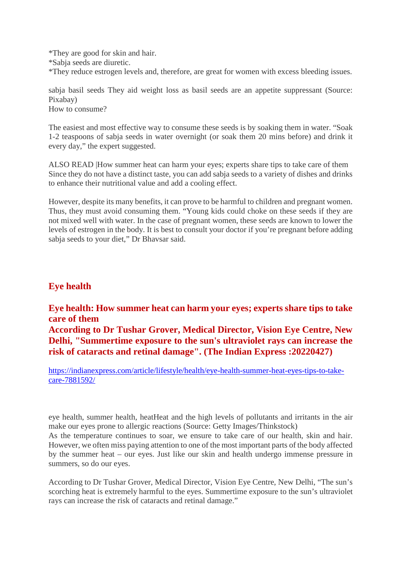\*They are good for skin and hair. \*Sabja seeds are diuretic. \*They reduce estrogen levels and, therefore, are great for women with excess bleeding issues.

sabja basil seeds They aid weight loss as basil seeds are an appetite suppressant (Source: Pixabay) How to consume?

The easiest and most effective way to consume these seeds is by soaking them in water. "Soak 1-2 teaspoons of sabja seeds in water overnight (or soak them 20 mins before) and drink it every day," the expert suggested.

ALSO READ |How summer heat can harm your eyes; experts share tips to take care of them Since they do not have a distinct taste, you can add sabja seeds to a variety of dishes and drinks to enhance their nutritional value and add a cooling effect.

However, despite its many benefits, it can prove to be harmful to children and pregnant women. Thus, they must avoid consuming them. "Young kids could choke on these seeds if they are not mixed well with water. In the case of pregnant women, these seeds are known to lower the levels of estrogen in the body. It is best to consult your doctor if you're pregnant before adding sabja seeds to your diet," Dr Bhavsar said.

## **Eye health**

### **Eye health: How summer heat can harm your eyes; experts share tips to take care of them According to Dr Tushar Grover, Medical Director, Vision Eye Centre, New**

**Delhi, "Summertime exposure to the sun's ultraviolet rays can increase the risk of cataracts and retinal damage". (The Indian Express :20220427)**

https://indianexpress.com/article/lifestyle/health/eye-health-summer-heat-eyes-tips-to-takecare-7881592/

eye health, summer health, heatHeat and the high levels of pollutants and irritants in the air make our eyes prone to allergic reactions (Source: Getty Images/Thinkstock)

As the temperature continues to soar, we ensure to take care of our health, skin and hair. However, we often miss paying attention to one of the most important parts of the body affected by the summer heat – our eyes. Just like our skin and health undergo immense pressure in summers, so do our eyes.

According to Dr Tushar Grover, Medical Director, Vision Eye Centre, New Delhi, "The sun's scorching heat is extremely harmful to the eyes. Summertime exposure to the sun's ultraviolet rays can increase the risk of cataracts and retinal damage."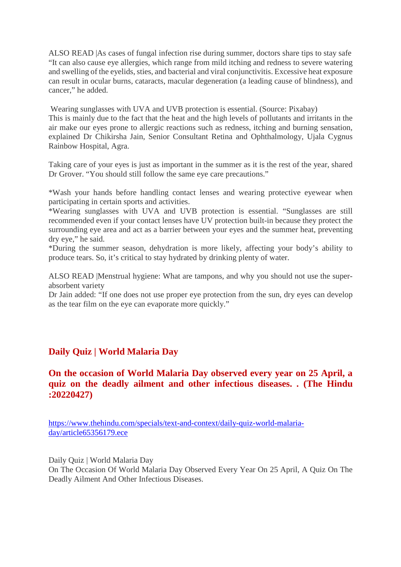ALSO READ |As cases of fungal infection rise during summer, doctors share tips to stay safe "It can also cause eye allergies, which range from mild itching and redness to severe watering and swelling of the eyelids, sties, and bacterial and viral conjunctivitis. Excessive heat exposure can result in ocular burns, cataracts, macular degeneration (a leading cause of blindness), and cancer," he added.

Wearing sunglasses with UVA and UVB protection is essential. (Source: Pixabay) This is mainly due to the fact that the heat and the high levels of pollutants and irritants in the air make our eyes prone to allergic reactions such as redness, itching and burning sensation, explained Dr Chikirsha Jain, Senior Consultant Retina and Ophthalmology, Ujala Cygnus Rainbow Hospital, Agra.

Taking care of your eyes is just as important in the summer as it is the rest of the year, shared Dr Grover. "You should still follow the same eye care precautions."

\*Wash your hands before handling contact lenses and wearing protective eyewear when participating in certain sports and activities.

\*Wearing sunglasses with UVA and UVB protection is essential. "Sunglasses are still recommended even if your contact lenses have UV protection built-in because they protect the surrounding eye area and act as a barrier between your eyes and the summer heat, preventing dry eye," he said.

\*During the summer season, dehydration is more likely, affecting your body's ability to produce tears. So, it's critical to stay hydrated by drinking plenty of water.

ALSO READ |Menstrual hygiene: What are tampons, and why you should not use the superabsorbent variety

Dr Jain added: "If one does not use proper eye protection from the sun, dry eyes can develop as the tear film on the eye can evaporate more quickly."

### **Daily Quiz | World Malaria Day**

### **On the occasion of World Malaria Day observed every year on 25 April, a quiz on the deadly ailment and other infectious diseases. . (The Hindu :20220427)**

https://www.thehindu.com/specials/text-and-context/daily-quiz-world-malariaday/article65356179.ece

Daily Quiz | World Malaria Day On The Occasion Of World Malaria Day Observed Every Year On 25 April, A Quiz On The Deadly Ailment And Other Infectious Diseases.